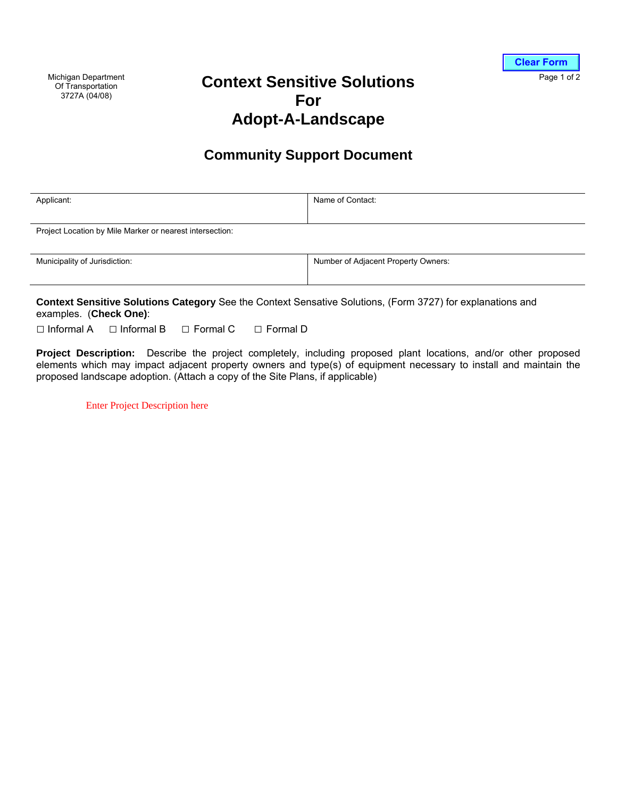Michigan Department Of Transportation 3727A (04/08)

## **Context Sensitive Solutions For Adopt-A-Landscape**

## **Community Support Document**

| Applicant:                                               | Name of Contact:                    |
|----------------------------------------------------------|-------------------------------------|
| Project Location by Mile Marker or nearest intersection: |                                     |
| Municipality of Jurisdiction:                            | Number of Adjacent Property Owners: |

**Context Sensitive Solutions Category** See the Context Sensative Solutions, (Form 3727) for explanations and examples. (**Check One)**:

□ Informal A □ Informal B □ Formal C □ Formal D

**Project Description:** Describe the project completely, including proposed plant locations, and/or other proposed elements which may impact adjacent property owners and type(s) of equipment necessary to install and maintain the proposed landscape adoption. (Attach a copy of the Site Plans, if applicable)

Enter Project Description here